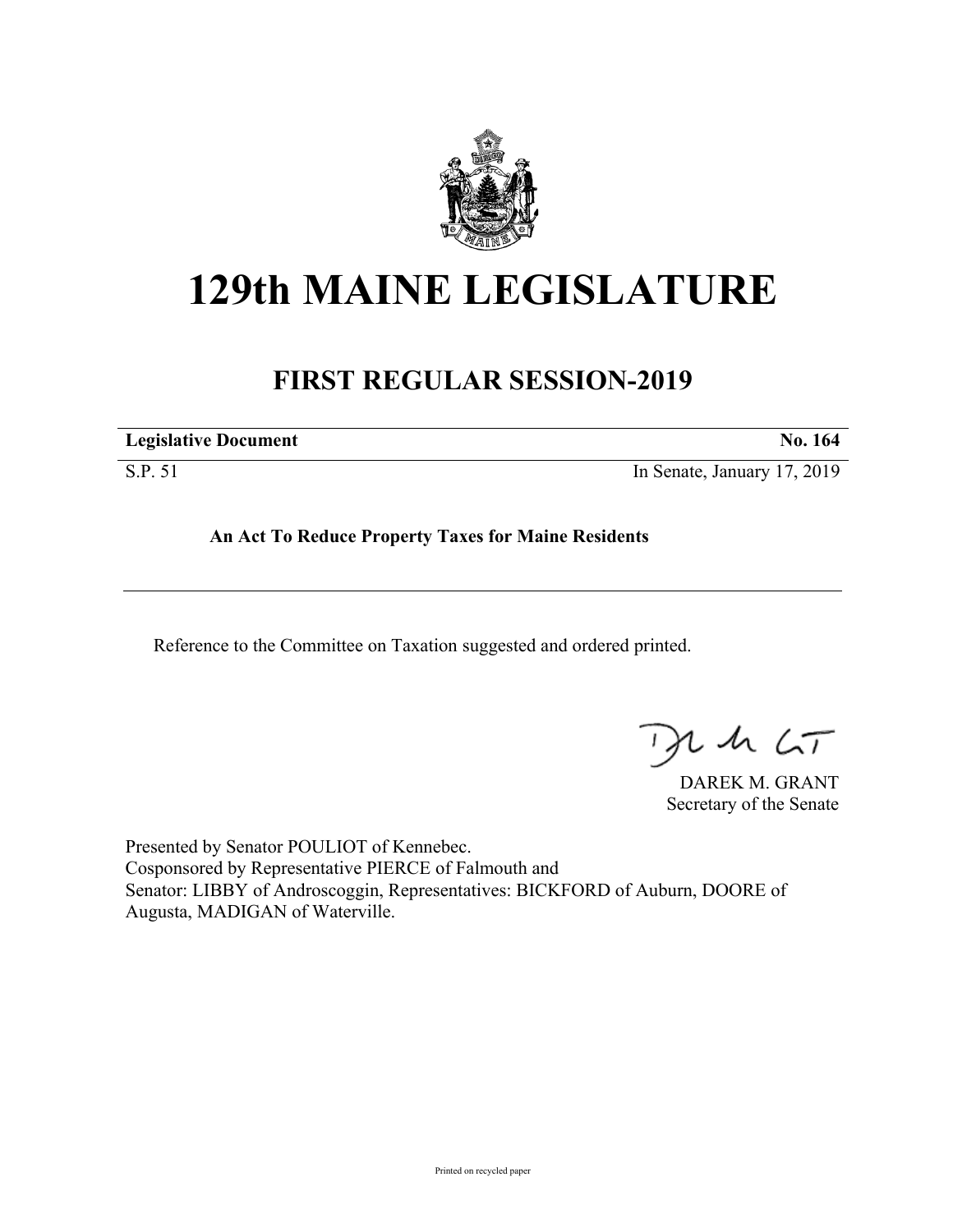

## **129th MAINE LEGISLATURE**

## **FIRST REGULAR SESSION-2019**

| No. 164 |
|---------|
|         |

S.P. 51 In Senate, January 17, 2019

**An Act To Reduce Property Taxes for Maine Residents**

Reference to the Committee on Taxation suggested and ordered printed.

 $115$ 

DAREK M. GRANT Secretary of the Senate

Presented by Senator POULIOT of Kennebec. Cosponsored by Representative PIERCE of Falmouth and Senator: LIBBY of Androscoggin, Representatives: BICKFORD of Auburn, DOORE of Augusta, MADIGAN of Waterville.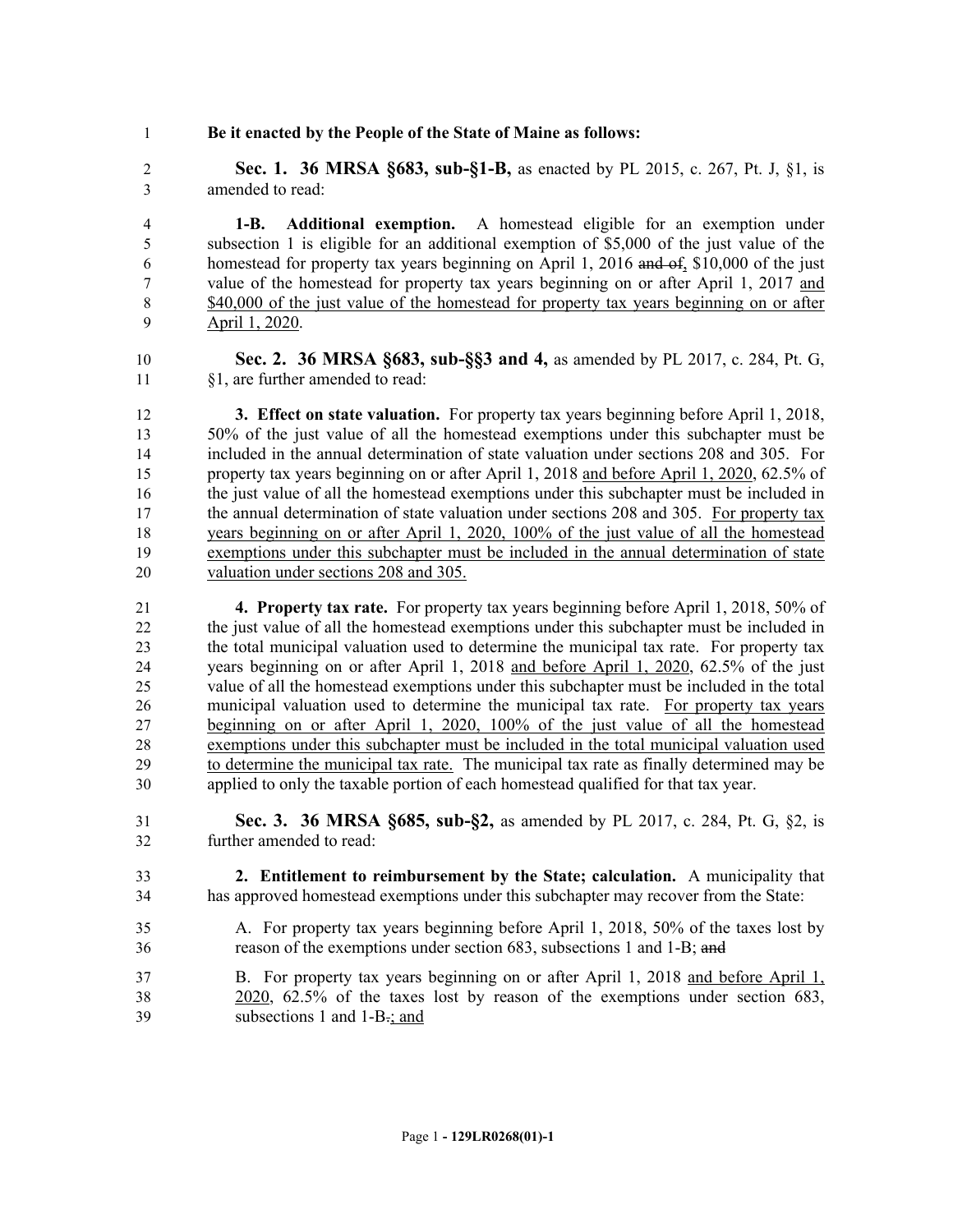**Be it enacted by the People of the State of Maine as follows:**

 **Sec. 1. 36 MRSA §683, sub-§1-B,** as enacted by PL 2015, c. 267, Pt. J, §1, is amended to read:

 **1-B. Additional exemption.** A homestead eligible for an exemption under subsection 1 is eligible for an additional exemption of \$5,000 of the just value of the homestead for property tax years beginning on April 1, 2016 and of, \$10,000 of the just value of the homestead for property tax years beginning on or after April 1, 2017 and 8 \$40,000 of the just value of the homestead for property tax years beginning on or after April 1, 2020.

 **Sec. 2. 36 MRSA §683, sub-§§3 and 4,** as amended by PL 2017, c. 284, Pt. G, §1, are further amended to read:

 **3. Effect on state valuation.** For property tax years beginning before April 1, 2018, 50% of the just value of all the homestead exemptions under this subchapter must be included in the annual determination of state valuation under sections 208 and 305. For property tax years beginning on or after April 1, 2018 and before April 1, 2020, 62.5% of the just value of all the homestead exemptions under this subchapter must be included in the annual determination of state valuation under sections 208 and 305. For property tax years beginning on or after April 1, 2020, 100% of the just value of all the homestead exemptions under this subchapter must be included in the annual determination of state valuation under sections 208 and 305.

 **4. Property tax rate.** For property tax years beginning before April 1, 2018, 50% of the just value of all the homestead exemptions under this subchapter must be included in the total municipal valuation used to determine the municipal tax rate. For property tax years beginning on or after April 1, 2018 and before April 1, 2020, 62.5% of the just value of all the homestead exemptions under this subchapter must be included in the total 26 municipal valuation used to determine the municipal tax rate. For property tax years beginning on or after April 1, 2020, 100% of the just value of all the homestead exemptions under this subchapter must be included in the total municipal valuation used to determine the municipal tax rate. The municipal tax rate as finally determined may be applied to only the taxable portion of each homestead qualified for that tax year.

 **Sec. 3. 36 MRSA §685, sub-§2,** as amended by PL 2017, c. 284, Pt. G, §2, is further amended to read:

- **2. Entitlement to reimbursement by the State; calculation.** A municipality that has approved homestead exemptions under this subchapter may recover from the State:
- A. For property tax years beginning before April 1, 2018, 50% of the taxes lost by reason of the exemptions under section 683, subsections 1 and 1-B; and
- B. For property tax years beginning on or after April 1, 2018 and before April 1, 2020, 62.5% of the taxes lost by reason of the exemptions under section 683, 39 subsections 1 and 1-B.; and